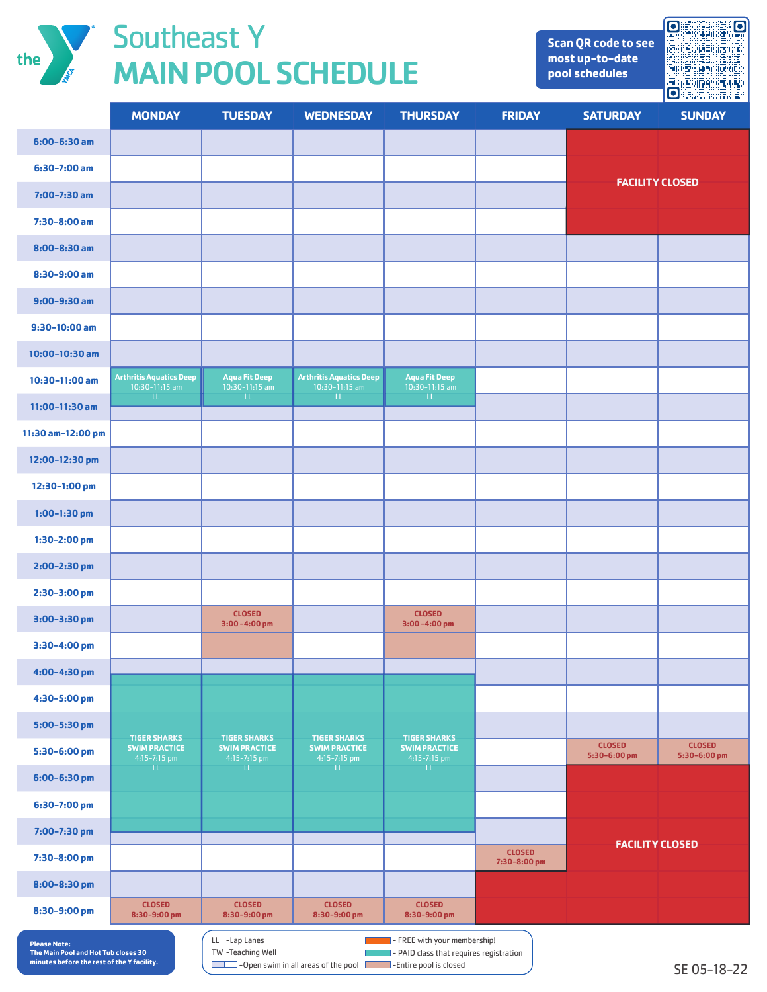

## The Southeast Y MAIN POOL SCHEDULE

**Scan QR code to see most up-to-date pool schedules**



|                     | <b>MONDAY</b>                                               | <b>TUESDAY</b>                                              | <b>WEDNESDAY</b>                                            | <b>THURSDAY</b>                                             | <b>FRIDAY</b>                 | <b>SATURDAY</b>               | <b>SUNDAY</b>                 |  |
|---------------------|-------------------------------------------------------------|-------------------------------------------------------------|-------------------------------------------------------------|-------------------------------------------------------------|-------------------------------|-------------------------------|-------------------------------|--|
| 6:00-6:30 am        |                                                             |                                                             |                                                             |                                                             |                               |                               |                               |  |
| $6:30-7:00$ am      |                                                             |                                                             |                                                             |                                                             |                               | <b>FACILITY CLOSED</b>        |                               |  |
| $7:00 - 7:30$ am    |                                                             |                                                             |                                                             |                                                             |                               |                               |                               |  |
| 7:30-8:00 am        |                                                             |                                                             |                                                             |                                                             |                               |                               |                               |  |
| $8:00 - 8:30$ am    |                                                             |                                                             |                                                             |                                                             |                               |                               |                               |  |
| 8:30-9:00 am        |                                                             |                                                             |                                                             |                                                             |                               |                               |                               |  |
| $9:00 - 9:30$ am    |                                                             |                                                             |                                                             |                                                             |                               |                               |                               |  |
| $9:30-10:00$ am     |                                                             |                                                             |                                                             |                                                             |                               |                               |                               |  |
| 10:00-10:30 am      |                                                             |                                                             |                                                             |                                                             |                               |                               |                               |  |
| 10:30-11:00 am      | <b>Arthritis Aquatics Deep</b><br>$10:30-11:15$ am          | <b>Aqua Fit Deep</b><br>$10:30-11:15$ am                    | <b>Arthritis Aquatics Deep</b><br>$10:30-11:15$ am          | <b>Aqua Fit Deep</b><br>$10:30-11:15$ am                    |                               |                               |                               |  |
| $11:00-11:30$ am    | <b>LL</b>                                                   | TE.                                                         | $\mathbf{u}$                                                | LL.                                                         |                               |                               |                               |  |
| 11:30 am-12:00 pm   |                                                             |                                                             |                                                             |                                                             |                               |                               |                               |  |
| 12:00-12:30 pm      |                                                             |                                                             |                                                             |                                                             |                               |                               |                               |  |
| 12:30-1:00 pm       |                                                             |                                                             |                                                             |                                                             |                               |                               |                               |  |
| $1:00-1:30$ pm      |                                                             |                                                             |                                                             |                                                             |                               |                               |                               |  |
| 1:30-2:00 pm        |                                                             |                                                             |                                                             |                                                             |                               |                               |                               |  |
| 2:00-2:30 pm        |                                                             |                                                             |                                                             |                                                             |                               |                               |                               |  |
| 2:30-3:00 pm        |                                                             |                                                             |                                                             |                                                             |                               |                               |                               |  |
| 3:00-3:30 pm        |                                                             | <b>CLOSED</b><br>$3:00 - 4:00$ pm                           |                                                             | <b>CLOSED</b><br>$3:00 - 4:00$ pm                           |                               |                               |                               |  |
| 3:30-4:00 pm        |                                                             |                                                             |                                                             |                                                             |                               |                               |                               |  |
| 4:00-4:30 pm        |                                                             |                                                             |                                                             |                                                             |                               |                               |                               |  |
| 4:30-5:00 pm        |                                                             |                                                             |                                                             |                                                             |                               |                               |                               |  |
| 5:00-5:30 pm        |                                                             |                                                             |                                                             |                                                             |                               |                               |                               |  |
| 5:30-6:00 pm        | <b>TIGER SHARKS</b><br><b>SWIM PRACTICE</b><br>4:15-7:15 pm | <b>TIGER SHARKS</b><br><b>SWIM PRACTICE</b><br>4:15-7:15 pm | <b>TIGER SHARKS</b><br><b>SWIM PRACTICE</b><br>4:15-7:15 pm | <b>TIGER SHARKS</b><br><b>SWIM PRACTICE</b><br>4:15-7:15 pm |                               | <b>CLOSED</b><br>5:30-6:00 pm | <b>CLOSED</b><br>5:30-6:00 pm |  |
| 6:00-6:30 pm        | $\mathsf{LL}^-$                                             | $\mathsf{L}\mathsf{L}$                                      | $\mathbf{u}$                                                | $\mathbf{u}$                                                |                               |                               |                               |  |
| 6:30-7:00 pm        |                                                             |                                                             |                                                             |                                                             |                               |                               |                               |  |
| 7:00-7:30 pm        |                                                             |                                                             |                                                             |                                                             |                               |                               |                               |  |
| 7:30-8:00 pm        |                                                             |                                                             |                                                             |                                                             | <b>CLOSED</b><br>7:30-8:00 pm | <b>FACILITY CLOSED</b>        |                               |  |
| 8:00-8:30 pm        |                                                             |                                                             |                                                             |                                                             |                               |                               |                               |  |
| 8:30-9:00 pm        | <b>CLOSED</b><br>8:30-9:00 pm                               | <b>CLOSED</b><br>8:30-9:00 pm                               | <b>CLOSED</b><br>8:30-9:00 pm                               | <b>CLOSED</b><br>8:30-9:00 pm                               |                               |                               |                               |  |
| <b>Please Note:</b> |                                                             | LL -Lap Lanes                                               |                                                             | - FREE with your membership!                                |                               |                               |                               |  |

**Please Note: The Main Pool and Hot Tub closes 30 minutes before the rest of the Y facility.** 

 $\blacksquare$  - PAID class that requires registration **-Open swim in all areas of the pool Incomence -Entire pool is closed** TW -Teaching Well

SE 05-18-22